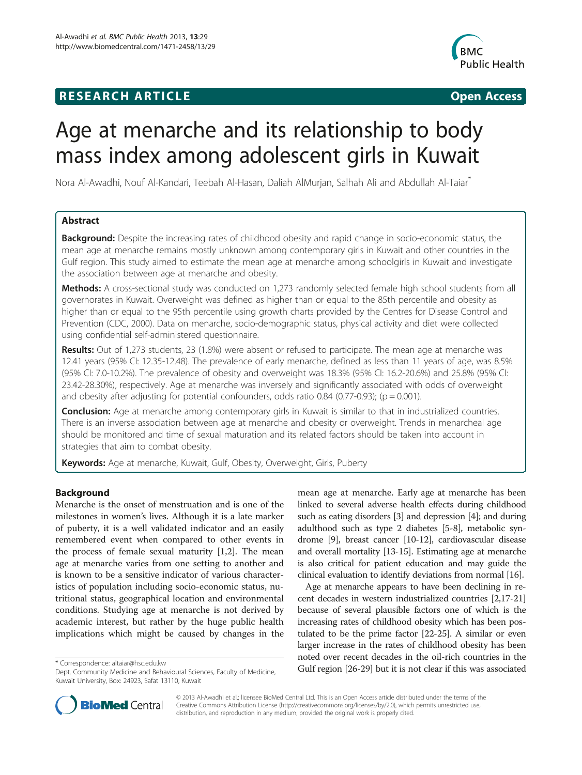## **RESEARCH ARTICLE Example 2014 12:30 The Community Community Community Community Community Community Community**



# Age at menarche and its relationship to body mass index among adolescent girls in Kuwait

Nora Al-Awadhi, Nouf Al-Kandari, Teebah Al-Hasan, Daliah AlMurjan, Salhah Ali and Abdullah Al-Taiar\*

## Abstract

**Background:** Despite the increasing rates of childhood obesity and rapid change in socio-economic status, the mean age at menarche remains mostly unknown among contemporary girls in Kuwait and other countries in the Gulf region. This study aimed to estimate the mean age at menarche among schoolgirls in Kuwait and investigate the association between age at menarche and obesity.

Methods: A cross-sectional study was conducted on 1,273 randomly selected female high school students from all governorates in Kuwait. Overweight was defined as higher than or equal to the 85th percentile and obesity as higher than or equal to the 95th percentile using growth charts provided by the Centres for Disease Control and Prevention (CDC, 2000). Data on menarche, socio-demographic status, physical activity and diet were collected using confidential self-administered questionnaire.

Results: Out of 1,273 students, 23 (1.8%) were absent or refused to participate. The mean age at menarche was 12.41 years (95% CI: 12.35-12.48). The prevalence of early menarche, defined as less than 11 years of age, was 8.5% (95% CI: 7.0-10.2%). The prevalence of obesity and overweight was 18.3% (95% CI: 16.2-20.6%) and 25.8% (95% CI: 23.42-28.30%), respectively. Age at menarche was inversely and significantly associated with odds of overweight and obesity after adjusting for potential confounders, odds ratio  $0.84$  (0.77-0.93); (p = 0.001).

**Conclusion:** Age at menarche among contemporary girls in Kuwait is similar to that in industrialized countries. There is an inverse association between age at menarche and obesity or overweight. Trends in menarcheal age should be monitored and time of sexual maturation and its related factors should be taken into account in strategies that aim to combat obesity.

Keywords: Age at menarche, Kuwait, Gulf, Obesity, Overweight, Girls, Puberty

## Background

Menarche is the onset of menstruation and is one of the milestones in women's lives. Although it is a late marker of puberty, it is a well validated indicator and an easily remembered event when compared to other events in the process of female sexual maturity [[1](#page-5-0),[2](#page-5-0)]. The mean age at menarche varies from one setting to another and is known to be a sensitive indicator of various characteristics of population including socio-economic status, nutritional status, geographical location and environmental conditions. Studying age at menarche is not derived by academic interest, but rather by the huge public health implications which might be caused by changes in the

mean age at menarche. Early age at menarche has been linked to several adverse health effects during childhood such as eating disorders [[3\]](#page-5-0) and depression [\[4](#page-5-0)]; and during adulthood such as type 2 diabetes [[5](#page-5-0)-[8\]](#page-5-0), metabolic syndrome [[9](#page-5-0)], breast cancer [\[10-12\]](#page-5-0), cardiovascular disease and overall mortality [\[13-15\]](#page-5-0). Estimating age at menarche is also critical for patient education and may guide the clinical evaluation to identify deviations from normal [[16](#page-5-0)].

Age at menarche appears to have been declining in recent decades in western industrialized countries [[2,17](#page-5-0)-[21](#page-5-0)] because of several plausible factors one of which is the increasing rates of childhood obesity which has been postulated to be the prime factor [[22](#page-5-0)-[25](#page-5-0)]. A similar or even larger increase in the rates of childhood obesity has been noted over recent decades in the oil-rich countries in the \* Correspondence: [altaiar@hsc.edu.kw](mailto:altaiar@hsc.edu.kw) **Example 1998** and Behavioural Sciences Faculty of Medicine<br>Dent Community Medicine and Behavioural Sciences Faculty of Medicine **Gulf region** [\[26-29\]](#page-5-0) but it is not clear if this was as



© 2013 Al-Awadhi et al.; licensee BioMed Central Ltd. This is an Open Access article distributed under the terms of the Creative Commons Attribution License (<http://creativecommons.org/licenses/by/2.0>), which permits unrestricted use, distribution, and reproduction in any medium, provided the original work is properly cited.

Dept. Community Medicine and Behavioural Sciences, Faculty of Medicine, Kuwait University, Box: 24923, Safat 13110, Kuwait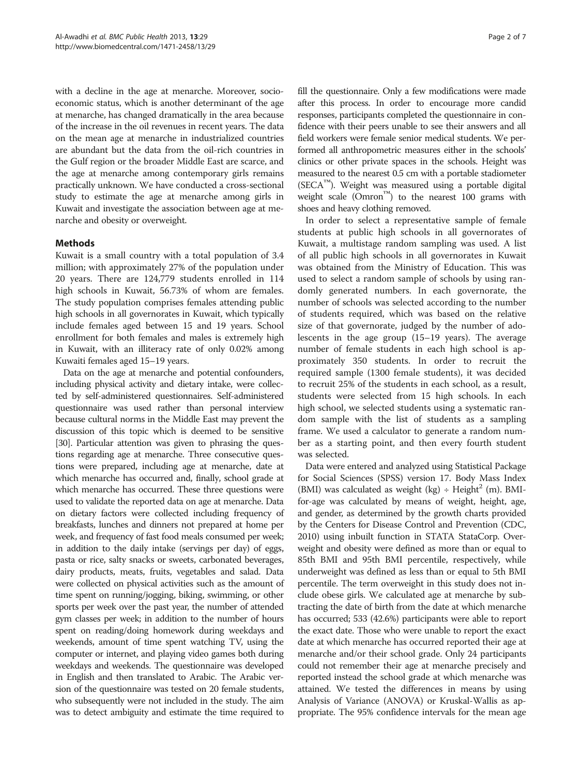with a decline in the age at menarche. Moreover, socioeconomic status, which is another determinant of the age at menarche, has changed dramatically in the area because of the increase in the oil revenues in recent years. The data on the mean age at menarche in industrialized countries are abundant but the data from the oil-rich countries in the Gulf region or the broader Middle East are scarce, and the age at menarche among contemporary girls remains practically unknown. We have conducted a cross-sectional study to estimate the age at menarche among girls in Kuwait and investigate the association between age at menarche and obesity or overweight.

## Methods

Kuwait is a small country with a total population of 3.4 million; with approximately 27% of the population under 20 years. There are 124,779 students enrolled in 114 high schools in Kuwait, 56.73% of whom are females. The study population comprises females attending public high schools in all governorates in Kuwait, which typically include females aged between 15 and 19 years. School enrollment for both females and males is extremely high in Kuwait, with an illiteracy rate of only 0.02% among Kuwaiti females aged 15–19 years.

Data on the age at menarche and potential confounders, including physical activity and dietary intake, were collected by self-administered questionnaires. Self-administered questionnaire was used rather than personal interview because cultural norms in the Middle East may prevent the discussion of this topic which is deemed to be sensitive [[30](#page-5-0)]. Particular attention was given to phrasing the questions regarding age at menarche. Three consecutive questions were prepared, including age at menarche, date at which menarche has occurred and, finally, school grade at which menarche has occurred. These three questions were used to validate the reported data on age at menarche. Data on dietary factors were collected including frequency of breakfasts, lunches and dinners not prepared at home per week, and frequency of fast food meals consumed per week; in addition to the daily intake (servings per day) of eggs, pasta or rice, salty snacks or sweets, carbonated beverages, dairy products, meats, fruits, vegetables and salad. Data were collected on physical activities such as the amount of time spent on running/jogging, biking, swimming, or other sports per week over the past year, the number of attended gym classes per week; in addition to the number of hours spent on reading/doing homework during weekdays and weekends, amount of time spent watching TV, using the computer or internet, and playing video games both during weekdays and weekends. The questionnaire was developed in English and then translated to Arabic. The Arabic version of the questionnaire was tested on 20 female students, who subsequently were not included in the study. The aim was to detect ambiguity and estimate the time required to fill the questionnaire. Only a few modifications were made after this process. In order to encourage more candid responses, participants completed the questionnaire in confidence with their peers unable to see their answers and all field workers were female senior medical students. We performed all anthropometric measures either in the schools' clinics or other private spaces in the schools. Height was measured to the nearest 0.5 cm with a portable stadiometer (SECA™). Weight was measured using a portable digital weight scale (Omron<sup>™</sup>) to the nearest 100 grams with shoes and heavy clothing removed.

In order to select a representative sample of female students at public high schools in all governorates of Kuwait, a multistage random sampling was used. A list of all public high schools in all governorates in Kuwait was obtained from the Ministry of Education. This was used to select a random sample of schools by using randomly generated numbers. In each governorate, the number of schools was selected according to the number of students required, which was based on the relative size of that governorate, judged by the number of adolescents in the age group (15–19 years). The average number of female students in each high school is approximately 350 students. In order to recruit the required sample (1300 female students), it was decided to recruit 25% of the students in each school, as a result, students were selected from 15 high schools. In each high school, we selected students using a systematic random sample with the list of students as a sampling frame. We used a calculator to generate a random number as a starting point, and then every fourth student was selected.

Data were entered and analyzed using Statistical Package for Social Sciences (SPSS) version 17. Body Mass Index (BMI) was calculated as weight (kg)  $\div$  Height<sup>2</sup> (m). BMIfor-age was calculated by means of weight, height, age, and gender, as determined by the growth charts provided by the Centers for Disease Control and Prevention (CDC, 2010) using inbuilt function in STATA StataCorp. Overweight and obesity were defined as more than or equal to 85th BMI and 95th BMI percentile, respectively, while underweight was defined as less than or equal to 5th BMI percentile. The term overweight in this study does not include obese girls. We calculated age at menarche by subtracting the date of birth from the date at which menarche has occurred; 533 (42.6%) participants were able to report the exact date. Those who were unable to report the exact date at which menarche has occurred reported their age at menarche and/or their school grade. Only 24 participants could not remember their age at menarche precisely and reported instead the school grade at which menarche was attained. We tested the differences in means by using Analysis of Variance (ANOVA) or Kruskal-Wallis as appropriate. The 95% confidence intervals for the mean age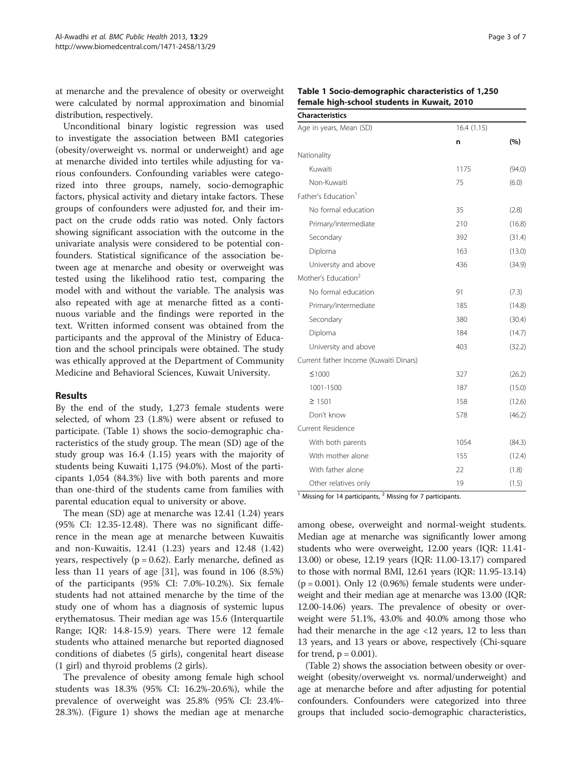at menarche and the prevalence of obesity or overweight were calculated by normal approximation and binomial distribution, respectively.

Unconditional binary logistic regression was used to investigate the association between BMI categories (obesity/overweight vs. normal or underweight) and age at menarche divided into tertiles while adjusting for various confounders. Confounding variables were categorized into three groups, namely, socio-demographic factors, physical activity and dietary intake factors. These groups of confounders were adjusted for, and their impact on the crude odds ratio was noted. Only factors showing significant association with the outcome in the univariate analysis were considered to be potential confounders. Statistical significance of the association between age at menarche and obesity or overweight was tested using the likelihood ratio test, comparing the model with and without the variable. The analysis was also repeated with age at menarche fitted as a continuous variable and the findings were reported in the text. Written informed consent was obtained from the participants and the approval of the Ministry of Education and the school principals were obtained. The study was ethically approved at the Department of Community Medicine and Behavioral Sciences, Kuwait University.

## Results

By the end of the study, 1,273 female students were selected, of whom 23 (1.8%) were absent or refused to participate. (Table 1) shows the socio-demographic characteristics of the study group. The mean (SD) age of the study group was 16.4 (1.15) years with the majority of students being Kuwaiti 1,175 (94.0%). Most of the participants 1,054 (84.3%) live with both parents and more than one-third of the students came from families with parental education equal to university or above.

The mean (SD) age at menarche was 12.41 (1.24) years (95% CI: 12.35-12.48). There was no significant difference in the mean age at menarche between Kuwaitis and non-Kuwaitis, 12.41 (1.23) years and 12.48 (1.42) years, respectively ( $p = 0.62$ ). Early menarche, defined as less than 11 years of age [[31](#page-5-0)], was found in 106 (8.5%) of the participants (95% CI: 7.0%-10.2%). Six female students had not attained menarche by the time of the study one of whom has a diagnosis of systemic lupus erythematosus. Their median age was 15.6 (Interquartile Range; IQR: 14.8-15.9) years. There were 12 female students who attained menarche but reported diagnosed conditions of diabetes (5 girls), congenital heart disease (1 girl) and thyroid problems (2 girls).

The prevalence of obesity among female high school students was 18.3% (95% CI: 16.2%-20.6%), while the prevalence of overweight was 25.8% (95% CI: 23.4%- 28.3%). (Figure [1](#page-3-0)) shows the median age at menarche

| Table 1 Socio-demographic characteristics of 1,250 |  |
|----------------------------------------------------|--|
| female high-school students in Kuwait, 2010        |  |

| <b>Characteristics</b>                 |            |        |  |
|----------------------------------------|------------|--------|--|
| Age in years, Mean (SD)                | 16.4(1.15) |        |  |
|                                        | n          | (%)    |  |
| Nationality                            |            |        |  |
| Kuwaiti                                | 1175       | (94.0) |  |
| Non-Kuwaiti                            | 75         | (6.0)  |  |
| Father's Education <sup>1</sup>        |            |        |  |
| No formal education                    | 35         | (2.8)  |  |
| Primary/intermediate                   | 210        | (16.8) |  |
| Secondary                              | 392        | (31.4) |  |
| Diploma                                | 163        | (13.0) |  |
| University and above                   | 436        | (34.9) |  |
| Mother's Education <sup>2</sup>        |            |        |  |
| No formal education                    | 91         | (7.3)  |  |
| Primary/intermediate                   | 185        | (14.8) |  |
| Secondary                              | 380        | (30.4) |  |
| Diploma                                | 184        | (14.7) |  |
| University and above                   | 403        | (32.2) |  |
| Current father Income (Kuwaiti Dinars) |            |        |  |
| ≤1000                                  | 327        | (26.2) |  |
| 1001-1500                              | 187        | (15.0) |  |
| $\geq 1501$                            | 158        | (12.6) |  |
| Don't know                             | 578        | (46.2) |  |
| Current Residence                      |            |        |  |
| With both parents                      | 1054       | (84.3) |  |
| With mother alone                      | 155        | (12.4) |  |
| With father alone                      | 22         | (1.8)  |  |
| Other relatives only                   | 19         | (1.5)  |  |

<sup>1</sup> Missing for 14 participants,  $<sup>2</sup>$  Missing for 7 participants.</sup>

among obese, overweight and normal-weight students. Median age at menarche was significantly lower among students who were overweight, 12.00 years (IQR: 11.41- 13.00) or obese, 12.19 years (IQR: 11.00-13.17) compared to those with normal BMI, 12.61 years (IQR: 11.95-13.14)  $(p = 0.001)$ . Only 12 (0.96%) female students were underweight and their median age at menarche was 13.00 (IQR: 12.00-14.06) years. The prevalence of obesity or overweight were 51.1%, 43.0% and 40.0% among those who had their menarche in the age <12 years, 12 to less than 13 years, and 13 years or above, respectively (Chi-square for trend,  $p = 0.001$ ).

(Table [2](#page-3-0)) shows the association between obesity or overweight (obesity/overweight vs. normal/underweight) and age at menarche before and after adjusting for potential confounders. Confounders were categorized into three groups that included socio-demographic characteristics,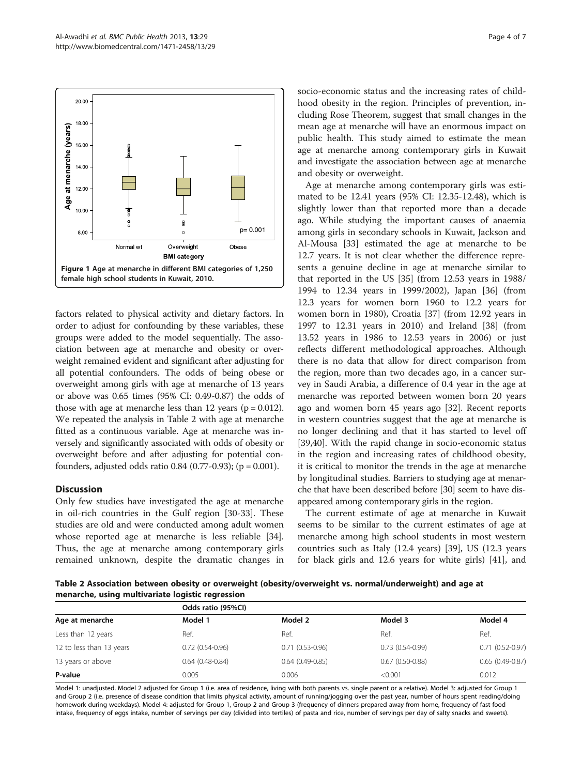<span id="page-3-0"></span>

factors related to physical activity and dietary factors. In order to adjust for confounding by these variables, these groups were added to the model sequentially. The association between age at menarche and obesity or overweight remained evident and significant after adjusting for all potential confounders. The odds of being obese or overweight among girls with age at menarche of 13 years or above was 0.65 times (95% CI: 0.49-0.87) the odds of those with age at menarche less than 12 years ( $p = 0.012$ ). We repeated the analysis in Table 2 with age at menarche fitted as a continuous variable. Age at menarche was inversely and significantly associated with odds of obesity or overweight before and after adjusting for potential confounders, adjusted odds ratio  $0.84$  (0.77-0.93); (p = 0.001).

## **Discussion**

Only few studies have investigated the age at menarche in oil-rich countries in the Gulf region [\[30-33](#page-5-0)]. These studies are old and were conducted among adult women whose reported age at menarche is less reliable [\[34](#page-5-0)]. Thus, the age at menarche among contemporary girls remained unknown, despite the dramatic changes in

socio-economic status and the increasing rates of childhood obesity in the region. Principles of prevention, including Rose Theorem, suggest that small changes in the mean age at menarche will have an enormous impact on public health. This study aimed to estimate the mean age at menarche among contemporary girls in Kuwait and investigate the association between age at menarche and obesity or overweight.

Age at menarche among contemporary girls was estimated to be 12.41 years (95% CI: 12.35-12.48), which is slightly lower than that reported more than a decade ago. While studying the important causes of anaemia among girls in secondary schools in Kuwait, Jackson and Al-Mousa [\[33](#page-5-0)] estimated the age at menarche to be 12.7 years. It is not clear whether the difference represents a genuine decline in age at menarche similar to that reported in the US [\[35](#page-5-0)] (from 12.53 years in 1988/ 1994 to 12.34 years in 1999/2002), Japan [[36\]](#page-5-0) (from 12.3 years for women born 1960 to 12.2 years for women born in 1980), Croatia [[37\]](#page-5-0) (from 12.92 years in 1997 to 12.31 years in 2010) and Ireland [\[38\]](#page-6-0) (from 13.52 years in 1986 to 12.53 years in 2006) or just reflects different methodological approaches. Although there is no data that allow for direct comparison from the region, more than two decades ago, in a cancer survey in Saudi Arabia, a difference of 0.4 year in the age at menarche was reported between women born 20 years ago and women born 45 years ago [[32](#page-5-0)]. Recent reports in western countries suggest that the age at menarche is no longer declining and that it has started to level off [[39,40\]](#page-6-0). With the rapid change in socio-economic status in the region and increasing rates of childhood obesity, it is critical to monitor the trends in the age at menarche by longitudinal studies. Barriers to studying age at menarche that have been described before [\[30](#page-5-0)] seem to have disappeared among contemporary girls in the region.

The current estimate of age at menarche in Kuwait seems to be similar to the current estimates of age at menarche among high school students in most western countries such as Italy (12.4 years) [[39](#page-6-0)], US (12.3 years for black girls and 12.6 years for white girls) [\[41\]](#page-6-0), and

Table 2 Association between obesity or overweight (obesity/overweight vs. normal/underweight) and age at menarche, using multivariate logistic regression

|                          | Odds ratio (95%Cl) |                     |                   |                     |  |  |
|--------------------------|--------------------|---------------------|-------------------|---------------------|--|--|
| Age at menarche          | Model 1            | Model 2             | Model 3           | Model 4             |  |  |
| Less than 12 years       | Ref.               | Ref.                | Ref.              | Ref.                |  |  |
| 12 to less than 13 years | $0.72(0.54-0.96)$  | $0.71(0.53-0.96)$   | $0.73(0.54-0.99)$ | $0.71(0.52-0.97)$   |  |  |
| 13 years or above        | $0.64(0.48-0.84)$  | $0.64(0.49 - 0.85)$ | $0.67(0.50-0.88)$ | $0.65(0.49 - 0.87)$ |  |  |
| P-value                  | 0.005              | 0.006               | < 0.001           | 0.012               |  |  |

Model 1: unadjusted. Model 2 adjusted for Group 1 (i.e. area of residence, living with both parents vs. single parent or a relative). Model 3: adjusted for Group 1 and Group 2 (i.e. presence of disease condition that limits physical activity, amount of running/jogging over the past year, number of hours spent reading/doing homework during weekdays). Model 4: adjusted for Group 1, Group 2 and Group 3 (frequency of dinners prepared away from home, frequency of fast-food intake, frequency of eggs intake, number of servings per day (divided into tertiles) of pasta and rice, number of servings per day of salty snacks and sweets).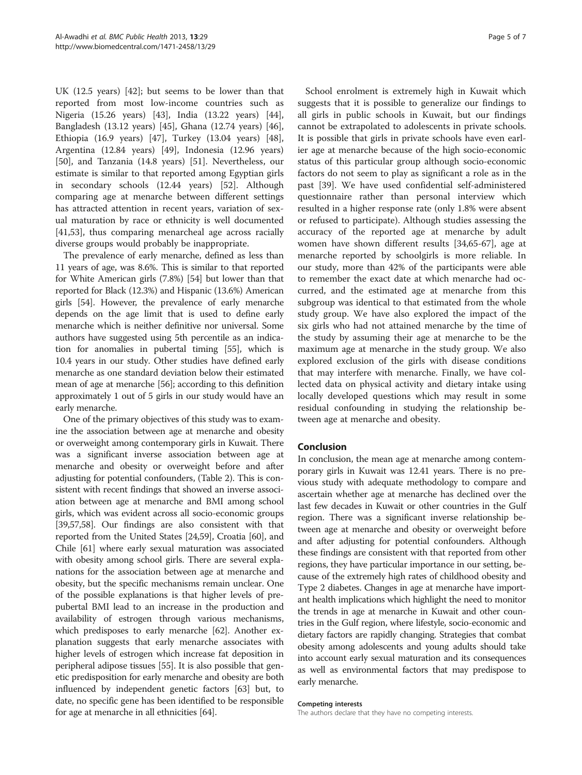UK (12.5 years) [[42\]](#page-6-0); but seems to be lower than that reported from most low-income countries such as Nigeria (15.26 years) [\[43](#page-6-0)], India (13.22 years) [\[44](#page-6-0)], Bangladesh (13.12 years) [\[45](#page-6-0)], Ghana (12.74 years) [\[46](#page-6-0)], Ethiopia (16.9 years) [[47](#page-6-0)], Turkey (13.04 years) [\[48](#page-6-0)], Argentina (12.84 years) [\[49\]](#page-6-0), Indonesia (12.96 years) [[50\]](#page-6-0), and Tanzania (14.8 years) [\[51](#page-6-0)]. Nevertheless, our estimate is similar to that reported among Egyptian girls in secondary schools (12.44 years) [[52\]](#page-6-0). Although comparing age at menarche between different settings has attracted attention in recent years, variation of sexual maturation by race or ethnicity is well documented [[41,53\]](#page-6-0), thus comparing menarcheal age across racially diverse groups would probably be inappropriate.

The prevalence of early menarche, defined as less than 11 years of age, was 8.6%. This is similar to that reported for White American girls (7.8%) [\[54](#page-6-0)] but lower than that reported for Black (12.3%) and Hispanic (13.6%) American girls [\[54](#page-6-0)]. However, the prevalence of early menarche depends on the age limit that is used to define early menarche which is neither definitive nor universal. Some authors have suggested using 5th percentile as an indication for anomalies in pubertal timing [[55](#page-6-0)], which is 10.4 years in our study. Other studies have defined early menarche as one standard deviation below their estimated mean of age at menarche [\[56\]](#page-6-0); according to this definition approximately 1 out of 5 girls in our study would have an early menarche.

One of the primary objectives of this study was to examine the association between age at menarche and obesity or overweight among contemporary girls in Kuwait. There was a significant inverse association between age at menarche and obesity or overweight before and after adjusting for potential confounders, (Table [2](#page-3-0)). This is consistent with recent findings that showed an inverse association between age at menarche and BMI among school girls, which was evident across all socio-economic groups [[39,57,58\]](#page-6-0). Our findings are also consistent with that reported from the United States [[24](#page-5-0)[,59\]](#page-6-0), Croatia [[60](#page-6-0)], and Chile [\[61\]](#page-6-0) where early sexual maturation was associated with obesity among school girls. There are several explanations for the association between age at menarche and obesity, but the specific mechanisms remain unclear. One of the possible explanations is that higher levels of prepubertal BMI lead to an increase in the production and availability of estrogen through various mechanisms, which predisposes to early menarche [\[62\]](#page-6-0). Another explanation suggests that early menarche associates with higher levels of estrogen which increase fat deposition in peripheral adipose tissues [\[55\]](#page-6-0). It is also possible that genetic predisposition for early menarche and obesity are both influenced by independent genetic factors [\[63\]](#page-6-0) but, to date, no specific gene has been identified to be responsible for age at menarche in all ethnicities [\[64\]](#page-6-0).

School enrolment is extremely high in Kuwait which suggests that it is possible to generalize our findings to all girls in public schools in Kuwait, but our findings cannot be extrapolated to adolescents in private schools. It is possible that girls in private schools have even earlier age at menarche because of the high socio-economic status of this particular group although socio-economic factors do not seem to play as significant a role as in the past [\[39](#page-6-0)]. We have used confidential self-administered questionnaire rather than personal interview which resulted in a higher response rate (only 1.8% were absent or refused to participate). Although studies assessing the accuracy of the reported age at menarche by adult women have shown different results [[34](#page-5-0),[65](#page-6-0)-[67\]](#page-6-0), age at menarche reported by schoolgirls is more reliable. In our study, more than 42% of the participants were able to remember the exact date at which menarche had occurred, and the estimated age at menarche from this subgroup was identical to that estimated from the whole study group. We have also explored the impact of the six girls who had not attained menarche by the time of the study by assuming their age at menarche to be the maximum age at menarche in the study group. We also explored exclusion of the girls with disease conditions that may interfere with menarche. Finally, we have collected data on physical activity and dietary intake using locally developed questions which may result in some residual confounding in studying the relationship between age at menarche and obesity.

## Conclusion

In conclusion, the mean age at menarche among contemporary girls in Kuwait was 12.41 years. There is no previous study with adequate methodology to compare and ascertain whether age at menarche has declined over the last few decades in Kuwait or other countries in the Gulf region. There was a significant inverse relationship between age at menarche and obesity or overweight before and after adjusting for potential confounders. Although these findings are consistent with that reported from other regions, they have particular importance in our setting, because of the extremely high rates of childhood obesity and Type 2 diabetes. Changes in age at menarche have important health implications which highlight the need to monitor the trends in age at menarche in Kuwait and other countries in the Gulf region, where lifestyle, socio-economic and dietary factors are rapidly changing. Strategies that combat obesity among adolescents and young adults should take into account early sexual maturation and its consequences as well as environmental factors that may predispose to early menarche.

#### Competing interests

The authors declare that they have no competing interests.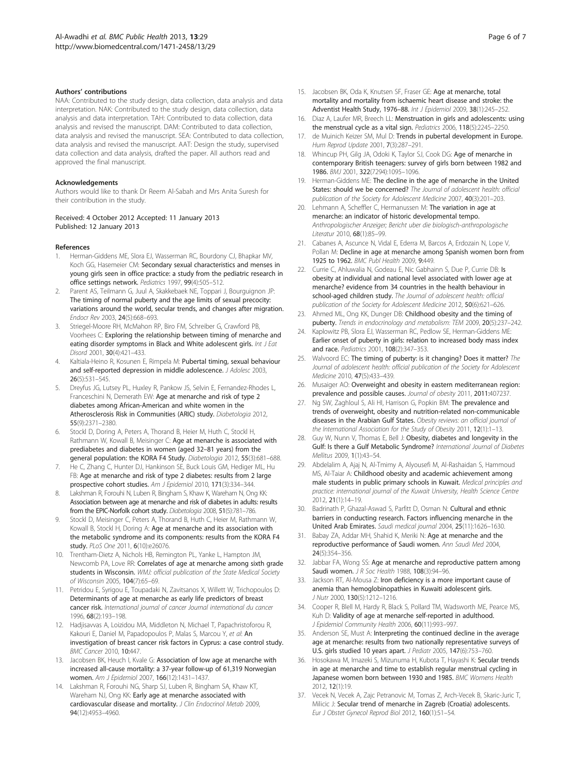#### <span id="page-5-0"></span>Authors' contributions

NAA: Contributed to the study design, data collection, data analysis and data interpretation. NAK: Contributed to the study design, data collection, data analysis and data interpretation. TAH: Contributed to data collection, data analysis and revised the manuscript. DAM: Contributed to data collection, data analysis and revised the manuscript. SEA: Contributed to data collection, data analysis and revised the manuscript. AAT: Design the study, supervised data collection and data analysis, drafted the paper. All authors read and approved the final manuscript.

#### Acknowledgements

Authors would like to thank Dr Reem Al-Sabah and Mrs Anita Suresh for their contribution in the study.

#### Received: 4 October 2012 Accepted: 11 January 2013 Published: 12 January 2013

#### References

- 1. Herman-Giddens ME, Slora EJ, Wasserman RC, Bourdony CJ, Bhapkar MV, Koch GG, Hasemeier CM: Secondary sexual characteristics and menses in young girls seen in office practice: a study from the pediatric research in office settings network. Pediatrics 1997, 99(4):505–512.
- 2. Parent AS, Teilmann G, Juul A, Skakkebaek NE, Toppari J, Bourguignon JP: The timing of normal puberty and the age limits of sexual precocity: variations around the world, secular trends, and changes after migration. Endocr Rev 2003, 24(5):668–693.
- 3. Striegel-Moore RH, McMahon RP, Biro FM, Schreiber G, Crawford PB, Voorhees C: Exploring the relationship between timing of menarche and eating disorder symptoms in Black and White adolescent girls. Int J Eat Disord 2001, 30(4):421–433.
- Kaltiala-Heino R, Kosunen E, Rimpela M: Pubertal timing, sexual behaviour and self-reported depression in middle adolescence. J Adolesc 2003, 26(5):531–545.
- 5. Dreyfus JG, Lutsey PL, Huxley R, Pankow JS, Selvin E, Fernandez-Rhodes L, Franceschini N, Demerath EW: Age at menarche and risk of type 2 diabetes among African-American and white women in the Atherosclerosis Risk in Communities (ARIC) study. Diabetologia 2012, 55(9):2371–2380.
- Stockl D, Doring A, Peters A, Thorand B, Heier M, Huth C, Stockl H, Rathmann W, Kowall B, Meisinger C: Age at menarche is associated with prediabetes and diabetes in women (aged 32–81 years) from the general population: the KORA F4 Study. Diabetologia 2012, 55(3):681–688.
- 7. He C, Zhang C, Hunter DJ, Hankinson SE, Buck Louis GM, Hediger ML, Hu FB: Age at menarche and risk of type 2 diabetes: results from 2 large prospective cohort studies. Am J Epidemiol 2010, 171(3):334–344.
- Lakshman R, Forouhi N, Luben R, Bingham S, Khaw K, Wareham N, Ong KK: Association between age at menarche and risk of diabetes in adults: results from the EPIC-Norfolk cohort study. Diabetologia 2008, 51(5):781–786.
- Stockl D, Meisinger C, Peters A, Thorand B, Huth C, Heier M, Rathmann W, Kowall B, Stockl H, Doring A: Age at menarche and its association with the metabolic syndrome and its components: results from the KORA F4 study. PLoS One 2011, 6(10):e26076.
- 10. Trentham-Dietz A, Nichols HB, Remington PL, Yanke L, Hampton JM, Newcomb PA, Love RR: Correlates of age at menarche among sixth grade students in Wisconsin. WMJ: official publication of the State Medical Society of Wisconsin 2005, 104(7):65–69.
- 11. Petridou E, Syrigou E, Toupadaki N, Zavitsanos X, Willett W, Trichopoulos D: Determinants of age at menarche as early life predictors of breast cancer risk. International journal of cancer Journal international du cancer 1996, 68(2):193–198.
- 12. Hadjisavvas A, Loizidou MA, Middleton N, Michael T, Papachristoforou R, Kakouri E, Daniel M, Papadopoulos P, Malas S, Marcou Y, et al: An investigation of breast cancer risk factors in Cyprus: a case control study. BMC Cancer 2010, 10:447.
- 13. Jacobsen BK, Heuch I, Kvale G: Association of low age at menarche with increased all-cause mortality: a 37-year follow-up of 61,319 Norwegian women. Am J Epidemiol 2007, 166(12):1431–1437.
- 14. Lakshman R, Forouhi NG, Sharp SJ, Luben R, Bingham SA, Khaw KT, Wareham NJ, Ong KK: Early age at menarche associated with cardiovascular disease and mortality. J Clin Endocrinol Metab 2009, 94(12):4953–4960.
- 15. Jacobsen BK, Oda K, Knutsen SF, Fraser GE: Age at menarche, total mortality and mortality from ischaemic heart disease and stroke: the Adventist Health Study, 1976–88. Int J Epidemiol 2009, 38(1):245–252.
- 16. Diaz A, Laufer MR, Breech LL: Menstruation in girls and adolescents: using the menstrual cycle as a vital sign. Pediatrics 2006, 118(5):2245–2250.
- 17. de Muinich Keizer SM, Mul D: Trends in pubertal development in Europe. Hum Reprod Update 2001, 7(3):287–291.
- 18. Whincup PH, Gilg JA, Odoki K, Taylor SJ, Cook DG: Age of menarche in contemporary British teenagers: survey of girls born between 1982 and 1986. BMJ 2001, 322(7294):1095–1096.
- 19. Herman-Giddens ME: The decline in the age of menarche in the United States: should we be concerned? The Journal of adolescent health: official publication of the Society for Adolescent Medicine 2007, 40(3):201–203.
- 20. Lehmann A, Scheffler C, Hermanussen M: The variation in age at menarche: an indicator of historic developmental tempo. Anthropologischer Anzeiger; Bericht uber die biologisch-anthropologische Literatur 2010, 68(1):85–99.
- 21. Cabanes A, Ascunce N, Vidal E, Ederra M, Barcos A, Erdozain N, Lope V, Pollan M: Decline in age at menarche among Spanish women born from 1925 to 1962. BMC Publ Health 2009, 9:449.
- 22. Currie C, Ahluwalia N, Godeau E, Nic Gabhainn S, Due P, Currie DB: Is obesity at individual and national level associated with lower age at menarche? evidence from 34 countries in the health behaviour in school-aged children study. The Journal of adolescent health: official publication of the Society for Adolescent Medicine 2012, 50(6):621–626.
- 23. Ahmed ML, Ong KK, Dunger DB: Childhood obesity and the timing of puberty. Trends in endocrinology and metabolism: TEM 2009, 20(5):237–242.
- 24. Kaplowitz PB, Slora EJ, Wasserman RC, Pedlow SE, Herman-Giddens ME: Earlier onset of puberty in girls: relation to increased body mass index and race. *Pediatrics* 2001, 108(2):347-353.
- 25. Walvoord EC: The timing of puberty: is it changing? Does it matter? The Journal of adolescent health: official publication of the Society for Adolescent Medicine 2010, 47(5):433–439.
- 26. Musaiger AO: Overweight and obesity in eastern mediterranean region: prevalence and possible causes. Journal of obesity 2011, 2011:407237.
- 27. Ng SW, Zaghloul S, Ali HI, Harrison G, Popkin BM: The prevalence and trends of overweight, obesity and nutrition-related non-communicable diseases in the Arabian Gulf States. Obesity reviews: an official journal of the International Association for the Study of Obesity 2011, 12(1):1–13.
- 28. Guy W, Nunn V, Thomas E, Bell J: Obesity, diabetes and longevity in the Gulf: Is there a Gulf Metabolic Syndrome? International Journal of Diabetes Mellitus 2009, 1(1):43–54.
- 29. Abdelalim A, Ajaj N, Al-Tmimy A, Alyousefi M, Al-Rashaidan S, Hammoud MS, Al-Taiar A: Childhood obesity and academic achievement among male students in public primary schools in Kuwait. Medical principles and practice: international journal of the Kuwait University, Health Science Centre 2012, 21(1):14–19.
- 30. Badrinath P, Ghazal-Aswad S, Parfitt D, Osman N: Cultural and ethnic barriers in conducting research. Factors influencing menarche in the United Arab Emirates. Saudi medical journal 2004, 25(11):1626–1630.
- 31. Babay ZA, Addar MH, Shahid K, Meriki N: Age at menarche and the reproductive performance of Saudi women. Ann Saudi Med 2004, 24(5):354–356.
- Jabbar FA, Wong SS: Age at menarche and reproductive pattern among Saudi women. J R Soc Health 1988, 108(3):94-96.
- 33. Jackson RT, Al-Mousa Z: Iron deficiency is a more important cause of anemia than hemoglobinopathies in Kuwaiti adolescent girls. J Nutr 2000, 130(5):1212–1216.
- 34. Cooper R, Blell M, Hardy R, Black S, Pollard TM, Wadsworth ME, Pearce MS, Kuh D: Validity of age at menarche self-reported in adulthood. J Epidemiol Community Health 2006, 60(11):993-997
- 35. Anderson SE, Must A: Interpreting the continued decline in the average age at menarche: results from two nationally representative surveys of U.S. girls studied 10 years apart. J Pediatr 2005, 147(6):753-760.
- 36. Hosokawa M, Imazeki S, Mizunuma H, Kubota T, Hayashi K: Secular trends in age at menarche and time to establish regular menstrual cycling in Japanese women born between 1930 and 1985. BMC Womens Health 2012, 12(1):19.
- 37. Vecek N, Vecek A, Zajc Petranovic M, Tomas Z, Arch-Vecek B, Skaric-Juric T, Milicic J: Secular trend of menarche in Zagreb (Croatia) adolescents. Eur J Obstet Gynecol Reprod Biol 2012, 160(1):51–54.